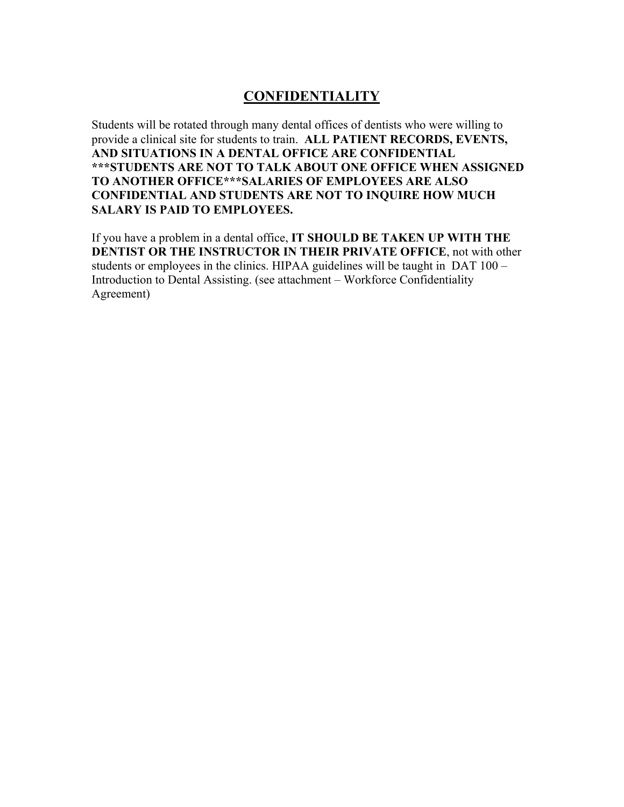## **CONFIDENTIALITY**

Students will be rotated through many dental offices of dentists who were willing to provide a clinical site for students to train. **ALL PATIENT RECORDS, EVENTS, AND SITUATIONS IN A DENTAL OFFICE ARE CONFIDENTIAL \*\*\*STUDENTS ARE NOT TO TALK ABOUT ONE OFFICE WHEN ASSIGNED TO ANOTHER OFFICE\*\*\*SALARIES OF EMPLOYEES ARE ALSO CONFIDENTIAL AND STUDENTS ARE NOT TO INQUIRE HOW MUCH SALARY IS PAID TO EMPLOYEES.** 

If you have a problem in a dental office, **IT SHOULD BE TAKEN UP WITH THE DENTIST OR THE INSTRUCTOR IN THEIR PRIVATE OFFICE**, not with other students or employees in the clinics. HIPAA guidelines will be taught in DAT 100 – Introduction to Dental Assisting. (see attachment – Workforce Confidentiality Agreement)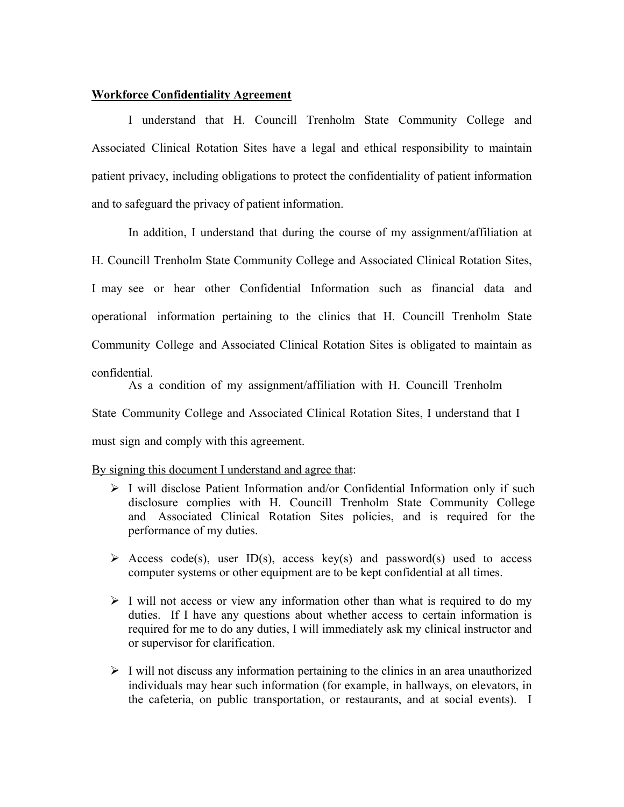## **Workforce Confidentiality Agreement**

I understand that H. Councill Trenholm State Community College and Associated Clinical Rotation Sites have a legal and ethical responsibility to maintain patient privacy, including obligations to protect the confidentiality of patient information and to safeguard the privacy of patient information.

In addition, I understand that during the course of my assignment/affiliation at H. Councill Trenholm State Community College and Associated Clinical Rotation Sites, I may see or hear other Confidential Information such as financial data and operational information pertaining to the clinics that H. Councill Trenholm State Community College and Associated Clinical Rotation Sites is obligated to maintain as confidential.

As a condition of my assignment/affiliation with H. Councill Trenholm

State Community College and Associated Clinical Rotation Sites, I understand that I

must sign and comply with this agreement.

## By signing this document I understand and agree that:

- $\triangleright$  I will disclose Patient Information and/or Confidential Information only if such disclosure complies with H. Councill Trenholm State Community College and Associated Clinical Rotation Sites policies, and is required for the performance of my duties.
- $\triangleright$  Access code(s), user ID(s), access key(s) and password(s) used to access computer systems or other equipment are to be kept confidential at all times.
- $\triangleright$  I will not access or view any information other than what is required to do my duties. If I have any questions about whether access to certain information is required for me to do any duties, I will immediately ask my clinical instructor and or supervisor for clarification.
- $\triangleright$  I will not discuss any information pertaining to the clinics in an area unauthorized individuals may hear such information (for example, in hallways, on elevators, in the cafeteria, on public transportation, or restaurants, and at social events). I